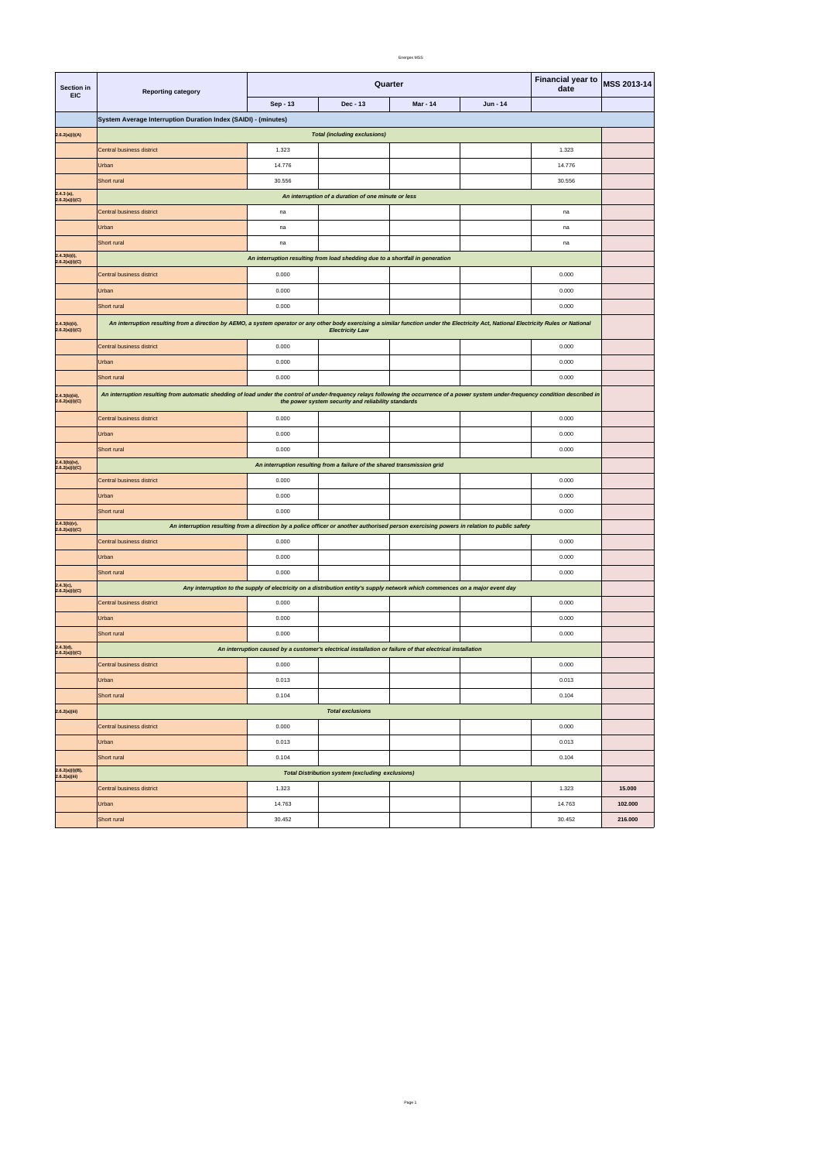| 55<br>в.<br>ss¥.<br>., |
|------------------------|
|------------------------|

| Section in<br><b>EIC</b>         | <b>Reporting category</b>                                                                                                                                                                                                                      | Quarter  |                                                                                                                              |          |          | <b>Financial year to</b><br>date | <b>MSS 2013-14</b> |
|----------------------------------|------------------------------------------------------------------------------------------------------------------------------------------------------------------------------------------------------------------------------------------------|----------|------------------------------------------------------------------------------------------------------------------------------|----------|----------|----------------------------------|--------------------|
|                                  |                                                                                                                                                                                                                                                | Sep - 13 | Dec - 13                                                                                                                     | Mar - 14 | Jun - 14 |                                  |                    |
|                                  | System Average Interruption Duration Index (SAIDI) - (minutes)                                                                                                                                                                                 |          |                                                                                                                              |          |          |                                  |                    |
| 2.6.2(a)(i)(A)                   | <b>Total (including exclusions)</b>                                                                                                                                                                                                            |          |                                                                                                                              |          |          |                                  |                    |
|                                  | Central business district                                                                                                                                                                                                                      | 1.323    |                                                                                                                              |          |          | 1.323                            |                    |
|                                  | Urban                                                                                                                                                                                                                                          | 14.776   |                                                                                                                              |          |          | 14.776                           |                    |
|                                  | Short rural                                                                                                                                                                                                                                    | 30.556   |                                                                                                                              |          |          | 30.556                           |                    |
| $2.4.3$ (a),<br>2.6.2(a)(i)(C)   |                                                                                                                                                                                                                                                |          | An interruption of a duration of one minute or less                                                                          |          |          |                                  |                    |
|                                  | Central business district                                                                                                                                                                                                                      | na       |                                                                                                                              |          |          | na                               |                    |
|                                  | Urban                                                                                                                                                                                                                                          | na       |                                                                                                                              |          |          | na                               |                    |
|                                  | Short rural                                                                                                                                                                                                                                    | na       |                                                                                                                              |          |          | na                               |                    |
| 2.4.3(b)(i),<br>2.6.2(a)(i)(C)   |                                                                                                                                                                                                                                                |          | An interruption resulting from load shedding due to a shortfall in generation                                                |          |          |                                  |                    |
|                                  | Central business district                                                                                                                                                                                                                      | 0.000    |                                                                                                                              |          |          | 0.000                            |                    |
|                                  | Urban                                                                                                                                                                                                                                          | 0.000    |                                                                                                                              |          |          | 0.000                            |                    |
|                                  | Short rural                                                                                                                                                                                                                                    | 0.000    |                                                                                                                              |          |          | 0.000                            |                    |
| 2.4.3(b)(ii),<br>2.6.2(a)(i)(C)  | An interruption resulting from a direction by AEMO, a system operator or any other body exercising a similar function under the Electricity Act, National Electricity Rules or National                                                        |          | <b>Electricity Law</b>                                                                                                       |          |          |                                  |                    |
|                                  | Central business district                                                                                                                                                                                                                      | 0.000    |                                                                                                                              |          |          | 0.000                            |                    |
|                                  | Urban                                                                                                                                                                                                                                          | 0.000    |                                                                                                                              |          |          | 0.000                            |                    |
|                                  | Short rural                                                                                                                                                                                                                                    | 0.000    |                                                                                                                              |          |          | 0.000                            |                    |
| 2.4.3(b)(iii),<br>2.6.2(a)(i)(C) | An interruption resulting from automatic shedding of load under the control of under-frequency relays following the occurrence of a power system under-frequency condition described in<br>the power system security and reliability standards |          |                                                                                                                              |          |          |                                  |                    |
|                                  | Central business district                                                                                                                                                                                                                      | 0.000    |                                                                                                                              |          |          | 0.000                            |                    |
|                                  | Urban                                                                                                                                                                                                                                          | 0.000    |                                                                                                                              |          |          | 0.000                            |                    |
|                                  | Short rural                                                                                                                                                                                                                                    | 0.000    |                                                                                                                              |          |          | 0.000                            |                    |
| 2.4.3(b)(iv),<br>2.6.2(a)(i)(C)  |                                                                                                                                                                                                                                                |          | An interruption resulting from a failure of the shared transmission grid                                                     |          |          |                                  |                    |
|                                  | Central business district                                                                                                                                                                                                                      | 0.000    |                                                                                                                              |          |          | 0.000                            |                    |
|                                  | Urban                                                                                                                                                                                                                                          | 0.000    |                                                                                                                              |          |          | 0.000                            |                    |
|                                  | Short rural                                                                                                                                                                                                                                    | 0.000    |                                                                                                                              |          |          | 0.000                            |                    |
| 2.4.3(b)(v),<br>2.6.2(a)(i)(C)   | An interruption resulting from a direction by a police officer or another authorised person exercising powers in relation to public safety                                                                                                     |          |                                                                                                                              |          |          |                                  |                    |
|                                  | Central business district                                                                                                                                                                                                                      | 0.000    |                                                                                                                              |          |          | 0.000                            |                    |
|                                  | Urban                                                                                                                                                                                                                                          | 0.000    |                                                                                                                              |          |          | 0.000                            |                    |
|                                  | Short rural                                                                                                                                                                                                                                    | 0.000    |                                                                                                                              |          |          | 0.000                            |                    |
| 2.4.3(c),<br>2.6.2(a)(i)(C)      |                                                                                                                                                                                                                                                |          | Any interruption to the supply of electricity on a distribution entity's supply network which commences on a major event day |          |          |                                  |                    |
|                                  | Central business district                                                                                                                                                                                                                      | 0.000    |                                                                                                                              |          |          | 0.000                            |                    |
|                                  | Urban                                                                                                                                                                                                                                          | 0.000    |                                                                                                                              |          |          | 0.000                            |                    |
|                                  | Short rural                                                                                                                                                                                                                                    | 0.000    |                                                                                                                              |          |          | 0.000                            |                    |
| 2.4.3(d),<br>2.6.2(a)(i)(C)      |                                                                                                                                                                                                                                                |          | An interruption caused by a customer's electrical installation or failure of that electrical installation                    |          |          |                                  |                    |
|                                  | Central business district                                                                                                                                                                                                                      | 0.000    |                                                                                                                              |          |          | 0.000                            |                    |
|                                  | Urban                                                                                                                                                                                                                                          | 0.013    |                                                                                                                              |          |          | 0.013                            |                    |
|                                  | Short rural                                                                                                                                                                                                                                    | 0.104    |                                                                                                                              |          |          | 0.104                            |                    |
| 2.6.2(a)(iii)                    |                                                                                                                                                                                                                                                |          | <b>Total exclusions</b>                                                                                                      |          |          |                                  |                    |
|                                  | Central business district                                                                                                                                                                                                                      | 0.000    |                                                                                                                              |          |          | 0.000                            |                    |
|                                  | Urban                                                                                                                                                                                                                                          | 0.013    |                                                                                                                              |          |          | 0.013                            |                    |
|                                  | Short rural                                                                                                                                                                                                                                    | 0.104    |                                                                                                                              |          |          | 0.104                            |                    |
| 2.6.2(a)(i)(B),<br>2.6.2(a)(iii) |                                                                                                                                                                                                                                                |          | <b>Total Distribution system (excluding exclusions)</b>                                                                      |          |          |                                  |                    |
|                                  | Central business district                                                                                                                                                                                                                      | 1.323    |                                                                                                                              |          |          | 1.323                            | 15.000             |
|                                  | Urban                                                                                                                                                                                                                                          | 14.763   |                                                                                                                              |          |          | 14.763                           | 102.000            |
|                                  | Short rural                                                                                                                                                                                                                                    | 30.452   |                                                                                                                              |          |          | 30.452                           | 216.000            |

Page 1